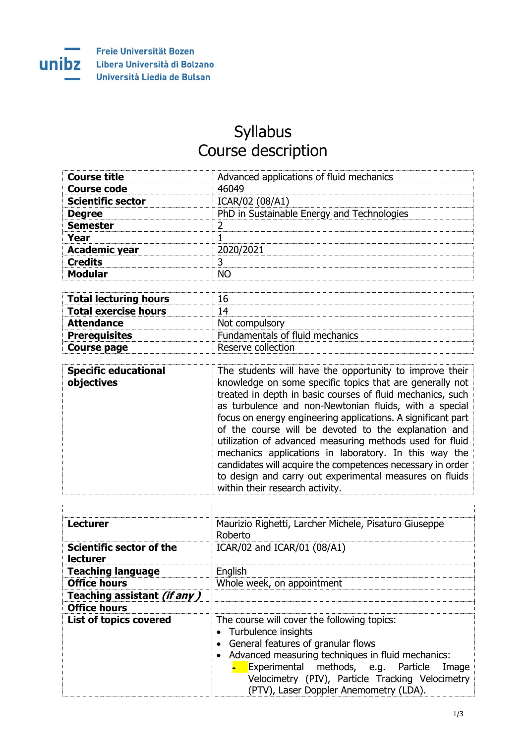

## Syllabus Course description

| <b>Course title</b>      | Advanced applications of fluid mechanics   |
|--------------------------|--------------------------------------------|
| Course code              | 46049                                      |
| <b>Scientific sector</b> | ICAR/02 (08/A1)                            |
| <b>Degree</b>            | PhD in Sustainable Energy and Technologies |
| <b>Semester</b>          |                                            |
| Year                     |                                            |
| <b>Academic year</b>     | 2020/2021                                  |
| <b>Credits</b>           |                                            |
| <b>Modular</b>           |                                            |

| <b>Total lecturing hours</b> | ٢p                              |
|------------------------------|---------------------------------|
| <b>Total exercise hours</b>  | 14                              |
| <b>Attendance</b>            | Not compulsory                  |
| <b>Prerequisites</b>         | Fundamentals of fluid mechanics |
| Course page                  | Reserve collection              |

| within their research activity. | <b>Specific educational</b><br>objectives | The students will have the opportunity to improve their<br>knowledge on some specific topics that are generally not<br>treated in depth in basic courses of fluid mechanics, such<br>as turbulence and non-Newtonian fluids, with a special<br>focus on energy engineering applications. A significant part<br>of the course will be devoted to the explanation and<br>utilization of advanced measuring methods used for fluid<br>mechanics applications in laboratory. In this way the<br>candidates will acquire the competences necessary in order<br>to design and carry out experimental measures on fluids |
|---------------------------------|-------------------------------------------|-------------------------------------------------------------------------------------------------------------------------------------------------------------------------------------------------------------------------------------------------------------------------------------------------------------------------------------------------------------------------------------------------------------------------------------------------------------------------------------------------------------------------------------------------------------------------------------------------------------------|
|---------------------------------|-------------------------------------------|-------------------------------------------------------------------------------------------------------------------------------------------------------------------------------------------------------------------------------------------------------------------------------------------------------------------------------------------------------------------------------------------------------------------------------------------------------------------------------------------------------------------------------------------------------------------------------------------------------------------|

| <b>Lecturer</b>                                    | Maurizio Righetti, Larcher Michele, Pisaturo Giuseppe<br>Roberto                                                                                                                                                                                                                                                |
|----------------------------------------------------|-----------------------------------------------------------------------------------------------------------------------------------------------------------------------------------------------------------------------------------------------------------------------------------------------------------------|
| <b>Scientific sector of the</b><br><b>lecturer</b> | ICAR/02 and ICAR/01 (08/A1)                                                                                                                                                                                                                                                                                     |
| <b>Teaching language</b>                           | English                                                                                                                                                                                                                                                                                                         |
| <b>Office hours</b>                                | Whole week, on appointment                                                                                                                                                                                                                                                                                      |
| Teaching assistant (if any)                        |                                                                                                                                                                                                                                                                                                                 |
| <b>Office hours</b>                                |                                                                                                                                                                                                                                                                                                                 |
| <b>List of topics covered</b>                      | The course will cover the following topics:<br>• Turbulence insights<br>General features of granular flows<br>• Advanced measuring techniques in fluid mechanics:<br>Experimental methods, e.g. Particle<br>Image<br>Velocimetry (PIV), Particle Tracking Velocimetry<br>(PTV), Laser Doppler Anemometry (LDA). |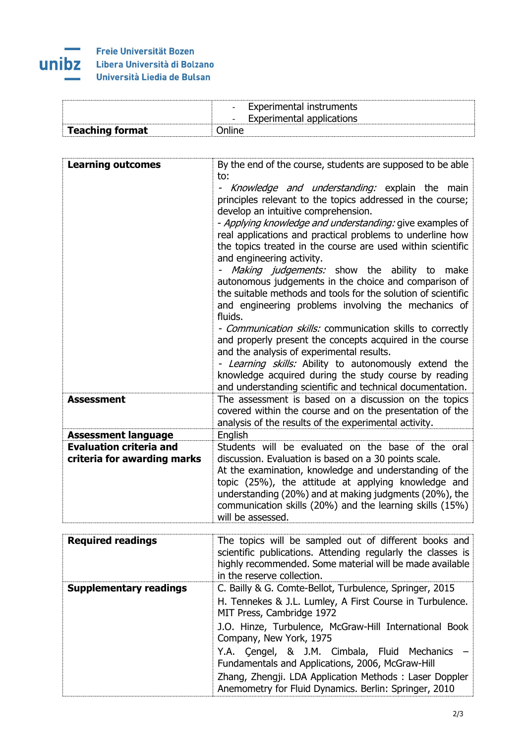## Е and the

|                        | Experimental instruments<br>$\overline{\phantom{0}}$<br>rerimental applications<br>$\overline{\phantom{0}}$ |
|------------------------|-------------------------------------------------------------------------------------------------------------|
| <b>Teaching format</b> |                                                                                                             |

| <b>Learning outcomes</b>                                      | By the end of the course, students are supposed to be able<br>to:<br>- Knowledge and understanding: explain the main<br>principles relevant to the topics addressed in the course;<br>develop an intuitive comprehension.<br>- Applying knowledge and understanding: give examples of<br>real applications and practical problems to underline how<br>the topics treated in the course are used within scientific<br>and engineering activity.<br>Making judgements: show the ability to make<br>autonomous judgements in the choice and comparison of<br>the suitable methods and tools for the solution of scientific<br>and engineering problems involving the mechanics of<br>fluids.<br>- Communication skills: communication skills to correctly<br>and properly present the concepts acquired in the course<br>and the analysis of experimental results.<br>- Learning skills: Ability to autonomously extend the<br>knowledge acquired during the study course by reading<br>and understanding scientific and technical documentation. |
|---------------------------------------------------------------|------------------------------------------------------------------------------------------------------------------------------------------------------------------------------------------------------------------------------------------------------------------------------------------------------------------------------------------------------------------------------------------------------------------------------------------------------------------------------------------------------------------------------------------------------------------------------------------------------------------------------------------------------------------------------------------------------------------------------------------------------------------------------------------------------------------------------------------------------------------------------------------------------------------------------------------------------------------------------------------------------------------------------------------------|
| <b>Assessment</b>                                             | The assessment is based on a discussion on the topics<br>covered within the course and on the presentation of the<br>analysis of the results of the experimental activity.                                                                                                                                                                                                                                                                                                                                                                                                                                                                                                                                                                                                                                                                                                                                                                                                                                                                     |
| <b>Assessment language</b>                                    | English                                                                                                                                                                                                                                                                                                                                                                                                                                                                                                                                                                                                                                                                                                                                                                                                                                                                                                                                                                                                                                        |
| <b>Evaluation criteria and</b><br>criteria for awarding marks | Students will be evaluated on the base of the oral<br>discussion. Evaluation is based on a 30 points scale.<br>At the examination, knowledge and understanding of the<br>topic (25%), the attitude at applying knowledge and<br>understanding (20%) and at making judgments (20%), the<br>communication skills (20%) and the learning skills (15%)<br>will be assessed.                                                                                                                                                                                                                                                                                                                                                                                                                                                                                                                                                                                                                                                                        |
| <b>Required readings</b>                                      | The topics will be sampled out of different books and<br>scientific publications. Attending requirely the classes is                                                                                                                                                                                                                                                                                                                                                                                                                                                                                                                                                                                                                                                                                                                                                                                                                                                                                                                           |

| NGYAN GA TGAANIYY             | THE topics will be sampled out of americate books and<br>scientific publications. Attending regularly the classes is<br>highly recommended. Some material will be made available<br>in the reserve collection. |
|-------------------------------|----------------------------------------------------------------------------------------------------------------------------------------------------------------------------------------------------------------|
| <b>Supplementary readings</b> | C. Bailly & G. Comte-Bellot, Turbulence, Springer, 2015                                                                                                                                                        |
|                               | H. Tennekes & J.L. Lumley, A First Course in Turbulence.<br>MIT Press, Cambridge 1972                                                                                                                          |
|                               | J.O. Hinze, Turbulence, McGraw-Hill International Book<br>Company, New York, 1975                                                                                                                              |
|                               | Y.A. Cengel, & J.M. Cimbala, Fluid Mechanics<br>Fundamentals and Applications, 2006, McGraw-Hill                                                                                                               |
|                               | Zhang, Zhengji. LDA Application Methods: Laser Doppler<br>Anemometry for Fluid Dynamics. Berlin: Springer, 2010                                                                                                |